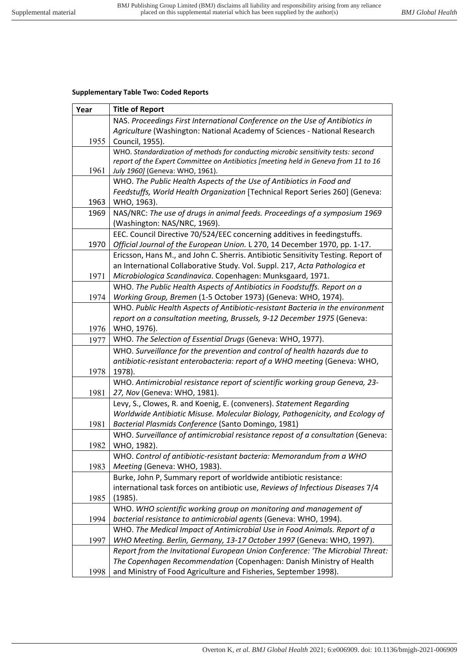## **Supplementary Table Two: Coded Reports**

| Year | <b>Title of Report</b>                                                              |
|------|-------------------------------------------------------------------------------------|
|      | NAS. Proceedings First International Conference on the Use of Antibiotics in        |
|      | Agriculture (Washington: National Academy of Sciences - National Research           |
| 1955 | Council, 1955).                                                                     |
|      | WHO. Standardization of methods for conducting microbic sensitivity tests: second   |
|      | report of the Expert Committee on Antibiotics [meeting held in Geneva from 11 to 16 |
| 1961 | July 1960] (Geneva: WHO, 1961).                                                     |
|      | WHO. The Public Health Aspects of the Use of Antibiotics in Food and                |
|      | Feedstuffs, World Health Organization [Technical Report Series 260] (Geneva:        |
| 1963 | WHO, 1963).                                                                         |
| 1969 | NAS/NRC: The use of drugs in animal feeds. Proceedings of a symposium 1969          |
|      | (Washington: NAS/NRC, 1969).                                                        |
|      | EEC. Council Directive 70/524/EEC concerning additives in feedingstuffs.            |
| 1970 | Official Journal of the European Union. L 270, 14 December 1970, pp. 1-17.          |
|      | Ericsson, Hans M., and John C. Sherris. Antibiotic Sensitivity Testing. Report of   |
|      | an International Collaborative Study. Vol. Suppl. 217, Acta Pathologica et          |
| 1971 | Microbiologica Scandinavica. Copenhagen: Munksgaard, 1971.                          |
|      | WHO. The Public Health Aspects of Antibiotics in Foodstuffs. Report on a            |
| 1974 | Working Group, Bremen (1-5 October 1973) (Geneva: WHO, 1974).                       |
|      | WHO. Public Health Aspects of Antibiotic-resistant Bacteria in the environment      |
|      | report on a consultation meeting, Brussels, 9-12 December 1975 (Geneva:             |
| 1976 | WHO, 1976).                                                                         |
| 1977 | WHO. The Selection of Essential Drugs (Geneva: WHO, 1977).                          |
|      | WHO. Surveillance for the prevention and control of health hazards due to           |
|      | antibiotic-resistant enterobacteria: report of a WHO meeting (Geneva: WHO,          |
| 1978 | 1978).                                                                              |
|      | WHO. Antimicrobial resistance report of scientific working group Geneva, 23-        |
| 1981 | 27, Nov (Geneva: WHO, 1981).                                                        |
|      | Levy, S., Clowes, R. and Koenig, E. (conveners). Statement Regarding                |
|      | Worldwide Antibiotic Misuse. Molecular Biology, Pathogenicity, and Ecology of       |
| 1981 | Bacterial Plasmids Conference (Santo Domingo, 1981)                                 |
|      | WHO. Surveillance of antimicrobial resistance repost of a consultation (Geneva:     |
| 1982 | WHO, 1982).                                                                         |
|      | WHO. Control of antibiotic-resistant bacteria: Memorandum from a WHO                |
| 1983 | Meeting (Geneva: WHO, 1983).                                                        |
|      | Burke, John P, Summary report of worldwide antibiotic resistance:                   |
|      | international task forces on antibiotic use, Reviews of Infectious Diseases 7/4     |
| 1985 | (1985).                                                                             |
|      | WHO. WHO scientific working group on monitoring and management of                   |
| 1994 | bacterial resistance to antimicrobial agents (Geneva: WHO, 1994).                   |
|      | WHO. The Medical Impact of Antimicrobial Use in Food Animals. Report of a           |
| 1997 | WHO Meeting. Berlin, Germany, 13-17 October 1997 (Geneva: WHO, 1997).               |
|      | Report from the Invitational European Union Conference: 'The Microbial Threat:      |
|      | The Copenhagen Recommendation (Copenhagen: Danish Ministry of Health                |
| 1998 | and Ministry of Food Agriculture and Fisheries, September 1998).                    |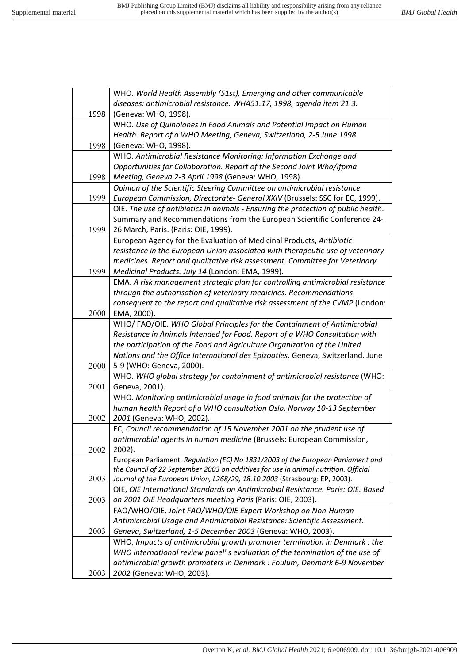r

|      | WHO. World Health Assembly (51st), Emerging and other communicable                  |
|------|-------------------------------------------------------------------------------------|
|      | diseases: antimicrobial resistance. WHA51.17, 1998, agenda item 21.3.               |
| 1998 | (Geneva: WHO, 1998).                                                                |
|      | WHO. Use of Quinolones in Food Animals and Potential Impact on Human                |
|      | Health. Report of a WHO Meeting, Geneva, Switzerland, 2-5 June 1998                 |
| 1998 | (Geneva: WHO, 1998).                                                                |
|      | WHO. Antimicrobial Resistance Monitoring: Information Exchange and                  |
|      | Opportunities for Collaboration. Report of the Second Joint Who/Ifpma               |
| 1998 | Meeting, Geneva 2-3 April 1998 (Geneva: WHO, 1998).                                 |
|      | Opinion of the Scientific Steering Committee on antimicrobial resistance.           |
| 1999 | European Commission, Directorate- General XXIV (Brussels: SSC for EC, 1999).        |
|      | OIE. The use of antibiotics in animals - Ensuring the protection of public health.  |
|      | Summary and Recommendations from the European Scientific Conference 24-             |
| 1999 | 26 March, Paris. (Paris: OIE, 1999).                                                |
|      | European Agency for the Evaluation of Medicinal Products, Antibiotic                |
|      | resistance in the European Union associated with therapeutic use of veterinary      |
|      | medicines. Report and qualitative risk assessment. Committee for Veterinary         |
| 1999 | Medicinal Products. July 14 (London: EMA, 1999).                                    |
|      | EMA. A risk management strategic plan for controlling antimicrobial resistance      |
|      | through the authorisation of veterinary medicines. Recommendations                  |
|      | consequent to the report and qualitative risk assessment of the CVMP (London:       |
| 2000 | EMA, 2000).                                                                         |
|      | WHO/FAO/OIE. WHO Global Principles for the Containment of Antimicrobial             |
|      | Resistance in Animals Intended for Food. Report of a WHO Consultation with          |
|      | the participation of the Food and Agriculture Organization of the United            |
|      | Nations and the Office International des Epizooties. Geneva, Switzerland. June      |
| 2000 | 5-9 (WHO: Geneva, 2000).                                                            |
|      | WHO. WHO global strategy for containment of antimicrobial resistance (WHO:          |
| 2001 | Geneva, 2001).                                                                      |
|      | WHO. Monitoring antimicrobial usage in food animals for the protection of           |
|      | human health Report of a WHO consultation Oslo, Norway 10-13 September              |
| 2002 | 2001 (Geneva: WHO, 2002).                                                           |
|      | EC, Council recommendation of 15 November 2001 on the prudent use of                |
|      | antimicrobial agents in human medicine (Brussels: European Commission,              |
| 2002 | 2002).                                                                              |
|      | European Parliament. Regulation (EC) No 1831/2003 of the European Parliament and    |
|      | the Council of 22 September 2003 on additives for use in animal nutrition. Official |
| 2003 | Journal of the European Union, L268/29, 18.10.2003 (Strasbourg: EP, 2003).          |
|      | OIE, OIE International Standards on Antimicrobial Resistance. Paris: OIE. Based     |
| 2003 | on 2001 OIE Headquarters meeting Paris (Paris: OIE, 2003).                          |
|      | FAO/WHO/OIE. Joint FAO/WHO/OIE Expert Workshop on Non-Human                         |
|      | Antimicrobial Usage and Antimicrobial Resistance: Scientific Assessment.            |
| 2003 | Geneva, Switzerland, 1-5 December 2003 (Geneva: WHO, 2003).                         |
|      | WHO, Impacts of antimicrobial growth promoter termination in Denmark : the          |
|      | WHO international review panel' s evaluation of the termination of the use of       |
|      | antimicrobial growth promoters in Denmark : Foulum, Denmark 6-9 November            |
| 2003 | 2002 (Geneva: WHO, 2003).                                                           |
|      |                                                                                     |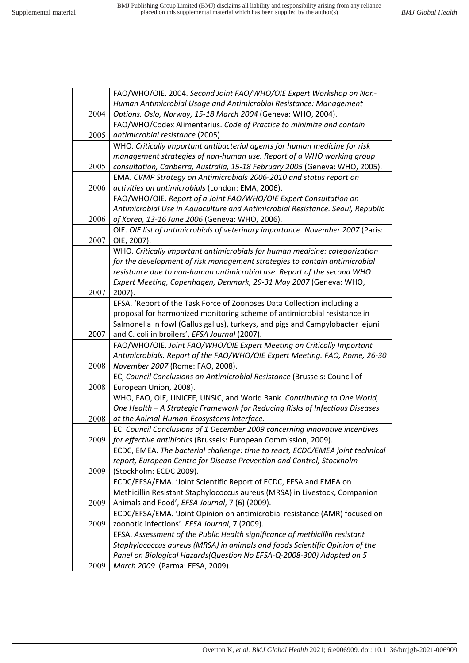|      | FAO/WHO/OIE. 2004. Second Joint FAO/WHO/OIE Expert Workshop on Non-             |
|------|---------------------------------------------------------------------------------|
|      | Human Antimicrobial Usage and Antimicrobial Resistance: Management              |
| 2004 | Options. Oslo, Norway, 15-18 March 2004 (Geneva: WHO, 2004).                    |
|      | FAO/WHO/Codex Alimentarius. Code of Practice to minimize and contain            |
| 2005 | antimicrobial resistance (2005).                                                |
|      | WHO. Critically important antibacterial agents for human medicine for risk      |
|      | management strategies of non-human use. Report of a WHO working group           |
| 2005 | consultation, Canberra, Australia, 15-18 February 2005 (Geneva: WHO, 2005).     |
|      | EMA. CVMP Strategy on Antimicrobials 2006-2010 and status report on             |
| 2006 | activities on antimicrobials (London: EMA, 2006).                               |
|      | FAO/WHO/OIE. Report of a Joint FAO/WHO/OIE Expert Consultation on               |
|      | Antimicrobial Use in Aquaculture and Antimicrobial Resistance. Seoul, Republic  |
| 2006 | of Korea, 13-16 June 2006 (Geneva: WHO, 2006).                                  |
|      | OIE. OIE list of antimicrobials of veterinary importance. November 2007 (Paris: |
| 2007 | OIE, 2007).                                                                     |
|      | WHO. Critically important antimicrobials for human medicine: categorization     |
|      | for the development of risk management strategies to contain antimicrobial      |
|      | resistance due to non-human antimicrobial use. Report of the second WHO         |
|      | Expert Meeting, Copenhagen, Denmark, 29-31 May 2007 (Geneva: WHO,               |
| 2007 | 2007).                                                                          |
|      | EFSA. 'Report of the Task Force of Zoonoses Data Collection including a         |
|      | proposal for harmonized monitoring scheme of antimicrobial resistance in        |
|      | Salmonella in fowl (Gallus gallus), turkeys, and pigs and Campylobacter jejuni  |
| 2007 | and C. coli in broilers', EFSA Journal (2007).                                  |
|      | FAO/WHO/OIE. Joint FAO/WHO/OIE Expert Meeting on Critically Important           |
|      | Antimicrobials. Report of the FAO/WHO/OIE Expert Meeting. FAO, Rome, 26-30      |
| 2008 | November 2007 (Rome: FAO, 2008).                                                |
|      | EC, Council Conclusions on Antimicrobial Resistance (Brussels: Council of       |
| 2008 | European Union, 2008).                                                          |
|      | WHO, FAO, OIE, UNICEF, UNSIC, and World Bank. Contributing to One World,        |
|      | One Health - A Strategic Framework for Reducing Risks of Infectious Diseases    |
| 2008 | at the Animal-Human-Ecosystems Interface.                                       |
|      | EC. Council Conclusions of 1 December 2009 concerning innovative incentives     |
| 2009 | for effective antibiotics (Brussels: European Commission, 2009).                |
|      | ECDC, EMEA. The bacterial challenge: time to react, ECDC/EMEA joint technical   |
|      | report, European Centre for Disease Prevention and Control, Stockholm           |
| 2009 | (Stockholm: ECDC 2009).                                                         |
|      | ECDC/EFSA/EMA. 'Joint Scientific Report of ECDC, EFSA and EMEA on               |
|      | Methicillin Resistant Staphylococcus aureus (MRSA) in Livestock, Companion      |
| 2009 | Animals and Food', EFSA Journal, 7 (6) (2009).                                  |
|      | ECDC/EFSA/EMA. 'Joint Opinion on antimicrobial resistance (AMR) focused on      |
| 2009 | zoonotic infections'. EFSA Journal, 7 (2009).                                   |
|      | EFSA. Assessment of the Public Health significance of methicillin resistant     |
|      | Staphylococcus aureus (MRSA) in animals and foods Scientific Opinion of the     |
|      | Panel on Biological Hazards(Question No EFSA-Q-2008-300) Adopted on 5           |
| 2009 | March 2009 (Parma: EFSA, 2009).                                                 |
|      |                                                                                 |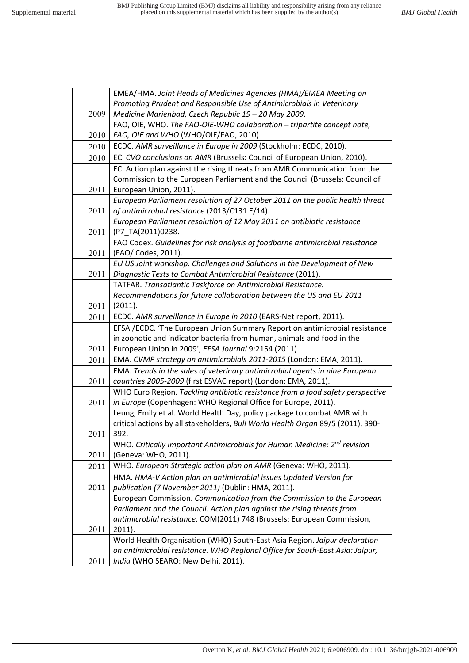|      | EMEA/HMA. Joint Heads of Medicines Agencies (HMA)/EMEA Meeting on                     |
|------|---------------------------------------------------------------------------------------|
|      | Promoting Prudent and Responsible Use of Antimicrobials in Veterinary                 |
| 2009 | Medicine Marienbad, Czech Republic 19 - 20 May 2009.                                  |
|      | FAO, OIE, WHO. The FAO-OIE-WHO collaboration - tripartite concept note,               |
| 2010 | FAO, OIE and WHO (WHO/OIE/FAO, 2010).                                                 |
| 2010 | ECDC. AMR surveillance in Europe in 2009 (Stockholm: ECDC, 2010).                     |
| 2010 | EC. CVO conclusions on AMR (Brussels: Council of European Union, 2010).               |
|      | EC. Action plan against the rising threats from AMR Communication from the            |
|      | Commission to the European Parliament and the Council (Brussels: Council of           |
| 2011 | European Union, 2011).                                                                |
|      | European Parliament resolution of 27 October 2011 on the public health threat         |
| 2011 | of antimicrobial resistance (2013/C131 E/14).                                         |
|      | European Parliament resolution of 12 May 2011 on antibiotic resistance                |
| 2011 | (P7_TA(2011)0238.                                                                     |
|      | FAO Codex. Guidelines for risk analysis of foodborne antimicrobial resistance         |
| 2011 | (FAO/ Codes, 2011).                                                                   |
|      | EU US Joint workshop. Challenges and Solutions in the Development of New              |
| 2011 | Diagnostic Tests to Combat Antimicrobial Resistance (2011).                           |
|      | TATFAR. Transatlantic Taskforce on Antimicrobial Resistance.                          |
|      | Recommendations for future collaboration between the US and EU 2011                   |
| 2011 | (2011).                                                                               |
| 2011 | ECDC. AMR surveillance in Europe in 2010 (EARS-Net report, 2011).                     |
|      | EFSA /ECDC. 'The European Union Summary Report on antimicrobial resistance            |
|      | in zoonotic and indicator bacteria from human, animals and food in the                |
| 2011 | European Union in 2009', EFSA Journal 9:2154 (2011).                                  |
| 2011 | EMA. CVMP strategy on antimicrobials 2011-2015 (London: EMA, 2011).                   |
|      | EMA. Trends in the sales of veterinary antimicrobial agents in nine European          |
| 2011 | countries 2005-2009 (first ESVAC report) (London: EMA, 2011).                         |
|      | WHO Euro Region. Tackling antibiotic resistance from a food safety perspective        |
| 2011 | in Europe (Copenhagen: WHO Regional Office for Europe, 2011).                         |
|      | Leung, Emily et al. World Health Day, policy package to combat AMR with               |
|      | critical actions by all stakeholders, Bull World Health Organ 89/5 (2011), 390-       |
| 2011 | 392.                                                                                  |
|      | WHO. Critically Important Antimicrobials for Human Medicine: 2 <sup>nd</sup> revision |
| 2011 | (Geneva: WHO, 2011).                                                                  |
| 2011 | WHO. European Strategic action plan on AMR (Geneva: WHO, 2011).                       |
|      | HMA. HMA-V Action plan on antimicrobial issues Updated Version for                    |
| 2011 | publication (7 November 2011) (Dublin: HMA, 2011).                                    |
|      | European Commission. Communication from the Commission to the European                |
|      | Parliament and the Council. Action plan against the rising threats from               |
| 2011 | antimicrobial resistance. COM(2011) 748 (Brussels: European Commission,<br>$2011$ ).  |
|      | World Health Organisation (WHO) South-East Asia Region. Jaipur declaration            |
|      | on antimicrobial resistance. WHO Regional Office for South-East Asia: Jaipur,         |
| 2011 | India (WHO SEARO: New Delhi, 2011).                                                   |
|      |                                                                                       |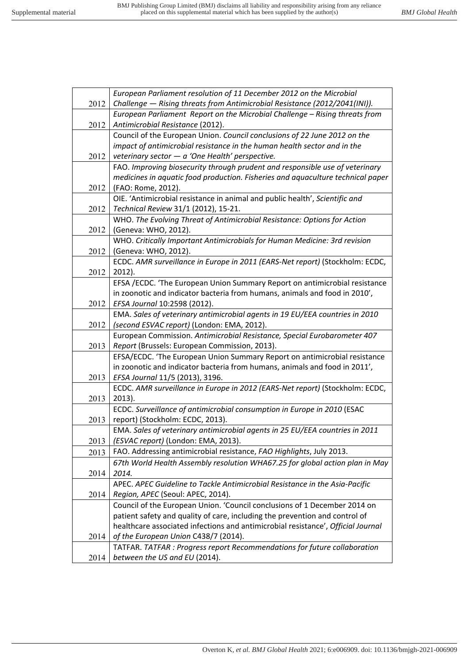|      | European Parliament resolution of 11 December 2012 on the Microbial              |
|------|----------------------------------------------------------------------------------|
| 2012 | Challenge - Rising threats from Antimicrobial Resistance (2012/2041(INI)).       |
|      | European Parliament Report on the Microbial Challenge - Rising threats from      |
| 2012 | Antimicrobial Resistance (2012).                                                 |
|      | Council of the European Union. Council conclusions of 22 June 2012 on the        |
|      | impact of antimicrobial resistance in the human health sector and in the         |
| 2012 | veterinary sector $-a$ 'One Health' perspective.                                 |
|      | FAO. Improving biosecurity through prudent and responsible use of veterinary     |
|      | medicines in aquatic food production. Fisheries and aquaculture technical paper  |
| 2012 | (FAO: Rome, 2012).                                                               |
|      | OIE. 'Antimicrobial resistance in animal and public health', Scientific and      |
| 2012 | Technical Review 31/1 (2012), 15-21.                                             |
|      | WHO. The Evolving Threat of Antimicrobial Resistance: Options for Action         |
| 2012 | (Geneva: WHO, 2012).                                                             |
|      | WHO. Critically Important Antimicrobials for Human Medicine: 3rd revision        |
| 2012 | (Geneva: WHO, 2012).                                                             |
|      | ECDC. AMR surveillance in Europe in 2011 (EARS-Net report) (Stockholm: ECDC,     |
| 2012 | $2012$ ).                                                                        |
|      | EFSA /ECDC. 'The European Union Summary Report on antimicrobial resistance       |
|      | in zoonotic and indicator bacteria from humans, animals and food in 2010',       |
| 2012 | EFSA Journal 10:2598 (2012).                                                     |
|      | EMA. Sales of veterinary antimicrobial agents in 19 EU/EEA countries in 2010     |
| 2012 | (second ESVAC report) (London: EMA, 2012).                                       |
|      | European Commission. Antimicrobial Resistance, Special Eurobarometer 407         |
| 2013 | Report (Brussels: European Commission, 2013).                                    |
|      | EFSA/ECDC. 'The European Union Summary Report on antimicrobial resistance        |
|      | in zoonotic and indicator bacteria from humans, animals and food in 2011',       |
| 2013 | EFSA Journal 11/5 (2013), 3196.                                                  |
|      | ECDC. AMR surveillance in Europe in 2012 (EARS-Net report) (Stockholm: ECDC,     |
| 2013 | $2013$ ).                                                                        |
|      | ECDC. Surveillance of antimicrobial consumption in Europe in 2010 (ESAC          |
| 2013 | report) (Stockholm: ECDC, 2013).                                                 |
|      | EMA. Sales of veterinary antimicrobial agents in 25 EU/EEA countries in 2011     |
| 2013 | (ESVAC report) (London: EMA, 2013).                                              |
| 2013 | FAO. Addressing antimicrobial resistance, FAO Highlights, July 2013.             |
|      | 67th World Health Assembly resolution WHA67.25 for global action plan in May     |
| 2014 | 2014.                                                                            |
|      | APEC. APEC Guideline to Tackle Antimicrobial Resistance in the Asia-Pacific      |
| 2014 | Region, APEC (Seoul: APEC, 2014).                                                |
|      | Council of the European Union. 'Council conclusions of 1 December 2014 on        |
|      | patient safety and quality of care, including the prevention and control of      |
|      | healthcare associated infections and antimicrobial resistance', Official Journal |
| 2014 | of the European Union C438/7 (2014).                                             |
|      | TATFAR. TATFAR : Progress report Recommendations for future collaboration        |
| 2014 | between the US and EU (2014).                                                    |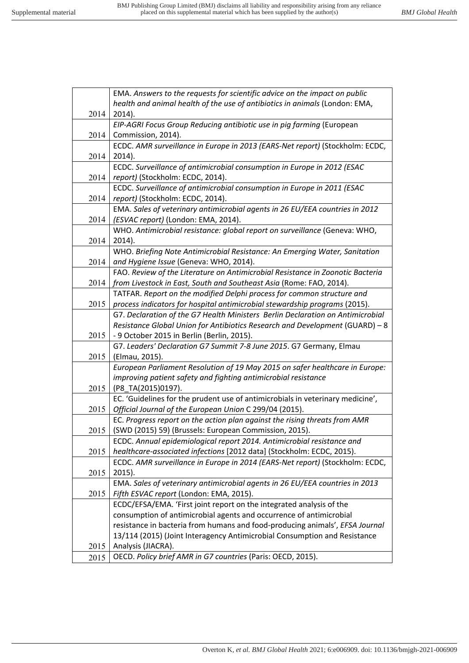|      | EMA. Answers to the requests for scientific advice on the impact on public                |
|------|-------------------------------------------------------------------------------------------|
|      | health and animal health of the use of antibiotics in animals (London: EMA,               |
| 2014 | 2014).                                                                                    |
|      | EIP-AGRI Focus Group Reducing antibiotic use in pig farming (European                     |
| 2014 | Commission, 2014).                                                                        |
|      | ECDC. AMR surveillance in Europe in 2013 (EARS-Net report) (Stockholm: ECDC,              |
| 2014 | 2014).                                                                                    |
|      | ECDC. Surveillance of antimicrobial consumption in Europe in 2012 (ESAC                   |
| 2014 | report) (Stockholm: ECDC, 2014).                                                          |
|      | ECDC. Surveillance of antimicrobial consumption in Europe in 2011 (ESAC                   |
| 2014 | report) (Stockholm: ECDC, 2014).                                                          |
|      | EMA. Sales of veterinary antimicrobial agents in 26 EU/EEA countries in 2012              |
| 2014 | (ESVAC report) (London: EMA, 2014).                                                       |
|      | WHO. Antimicrobial resistance: global report on surveillance (Geneva: WHO,                |
| 2014 | 2014).                                                                                    |
|      | WHO. Briefing Note Antimicrobial Resistance: An Emerging Water, Sanitation                |
| 2014 | and Hygiene Issue (Geneva: WHO, 2014).                                                    |
|      | FAO. Review of the Literature on Antimicrobial Resistance in Zoonotic Bacteria            |
| 2014 | from Livestock in East, South and Southeast Asia (Rome: FAO, 2014).                       |
|      | TATFAR. Report on the modified Delphi process for common structure and                    |
| 2015 | process indicators for hospital antimicrobial stewardship programs (2015).                |
|      | G7. Declaration of the G7 Health Ministers Berlin Declaration on Antimicrobial            |
|      | Resistance Global Union for Antibiotics Research and Development (GUARD) - 8              |
| 2015 | - 9 October 2015 in Berlin (Berlin, 2015).                                                |
|      | G7. Leaders' Declaration G7 Summit 7-8 June 2015. G7 Germany, Elmau                       |
| 2015 | (Elmau, 2015).                                                                            |
|      | European Parliament Resolution of 19 May 2015 on safer healthcare in Europe:              |
|      | improving patient safety and fighting antimicrobial resistance                            |
| 2015 | (P8_TA(2015)0197).                                                                        |
|      | EC. 'Guidelines for the prudent use of antimicrobials in veterinary medicine',            |
| 2015 | Official Journal of the European Union C 299/04 (2015).                                   |
|      | EC. Progress report on the action plan against the rising threats from AMR                |
| 2015 | (SWD (2015) 59) (Brussels: European Commission, 2015).                                    |
|      | ECDC. Annual epidemiological report 2014. Antimicrobial resistance and                    |
| 2015 | healthcare-associated infections [2012 data] (Stockholm: ECDC, 2015).                     |
|      | ECDC. AMR surveillance in Europe in 2014 (EARS-Net report) (Stockholm: ECDC,              |
| 2015 | $2015$ ).<br>EMA. Sales of veterinary antimicrobial agents in 26 EU/EEA countries in 2013 |
|      | Fifth ESVAC report (London: EMA, 2015).                                                   |
| 2015 | ECDC/EFSA/EMA. 'First joint report on the integrated analysis of the                      |
|      | consumption of antimicrobial agents and occurrence of antimicrobial                       |
|      | resistance in bacteria from humans and food-producing animals', EFSA Journal              |
|      | 13/114 (2015) (Joint Interagency Antimicrobial Consumption and Resistance                 |
| 2015 | Analysis (JIACRA).                                                                        |
| 2015 | OECD. Policy brief AMR in G7 countries (Paris: OECD, 2015).                               |
|      |                                                                                           |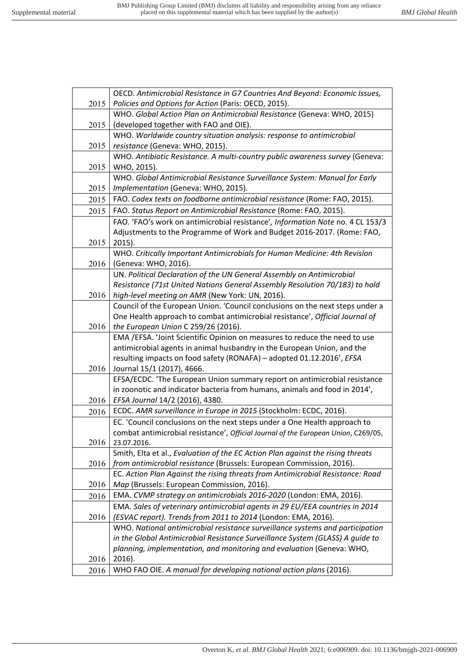|              | OECD. Antimicrobial Resistance in G7 Countries And Beyond: Economic Issues,                                                                            |
|--------------|--------------------------------------------------------------------------------------------------------------------------------------------------------|
| 2015         | Policies and Options for Action (Paris: OECD, 2015).                                                                                                   |
|              | WHO. Global Action Plan on Antimicrobial Resistance (Geneva: WHO, 2015)                                                                                |
| 2015         | (developed together with FAO and OIE).                                                                                                                 |
|              | WHO. Worldwide country situation analysis: response to antimicrobial                                                                                   |
| 2015         | resistance (Geneva: WHO, 2015).                                                                                                                        |
|              | WHO. Antibiotic Resistance. A multi-country public awareness survey (Geneva:                                                                           |
| 2015         | WHO, 2015).                                                                                                                                            |
|              | WHO. Global Antimicrobial Resistance Surveillance System: Manual for Early                                                                             |
| 2015         | Implementation (Geneva: WHO, 2015).                                                                                                                    |
| 2015         | FAO. Codex texts on foodborne antimicrobial resistance (Rome: FAO, 2015).                                                                              |
| 2015         | FAO. Status Report on Antimicrobial Resistance (Rome: FAO, 2015).                                                                                      |
|              | FAO. 'FAO's work on antimicrobial resistance', Information Note no. 4 CL 153/3                                                                         |
|              | Adjustments to the Programme of Work and Budget 2016-2017. (Rome: FAO,                                                                                 |
| 2015         | $2015$ ).                                                                                                                                              |
|              | WHO. Critically Important Antimicrobials for Human Medicine: 4th Revision                                                                              |
| 2016         | (Geneva: WHO, 2016).                                                                                                                                   |
|              | UN. Political Declaration of the UN General Assembly on Antimicrobial                                                                                  |
|              | Resistance (71st United Nations General Assembly Resolution 70/183) to hold                                                                            |
| 2016         | high-level meeting on AMR (New York: UN, 2016).                                                                                                        |
|              | Council of the European Union. 'Council conclusions on the next steps under a                                                                          |
|              | One Health approach to combat antimicrobial resistance', Official Journal of                                                                           |
| 2016         | the European Union C 259/26 (2016).                                                                                                                    |
|              | EMA / EFSA. 'Joint Scientific Opinion on measures to reduce the need to use<br>antimicrobial agents in animal husbandry in the European Union, and the |
|              | resulting impacts on food safety (RONAFA) - adopted 01.12.2016', EFSA                                                                                  |
| 2016         | Journal 15/1 (2017), 4666.                                                                                                                             |
|              | EFSA/ECDC. 'The European Union summary report on antimicrobial resistance                                                                              |
|              | in zoonotic and indicator bacteria from humans, animals and food in 2014',                                                                             |
| 2016         | EFSA Journal 14/2 (2016), 4380.                                                                                                                        |
| 2016         | ECDC. AMR surveillance in Europe in 2015 (Stockholm: ECDC, 2016).                                                                                      |
|              | EC. 'Council conclusions on the next steps under a One Health approach to                                                                              |
|              | combat antimicrobial resistance', Official Journal of the European Union, C269/05,                                                                     |
| 2016         | 23.07.2016.                                                                                                                                            |
|              | Smith, Elta et al., Evaluation of the EC Action Plan against the rising threats                                                                        |
| 2016         | from antimicrobial resistance (Brussels: European Commission, 2016).                                                                                   |
|              | EC. Action Plan Against the rising threats from Antimicrobial Resistance: Road                                                                         |
| 2016         | Map (Brussels: European Commission, 2016).                                                                                                             |
| 2016         | EMA. CVMP strategy on antimicrobials 2016-2020 (London: EMA, 2016).                                                                                    |
|              | EMA. Sales of veterinary antimicrobial agents in 29 EU/EEA countries in 2014                                                                           |
| 2016         |                                                                                                                                                        |
|              | (ESVAC report). Trends from 2011 to 2014 (London: EMA, 2016).                                                                                          |
|              | WHO. National antimicrobial resistance surveillance systems and participation                                                                          |
|              | in the Global Antimicrobial Resistance Surveillance System (GLASS) A guide to                                                                          |
|              | planning, implementation, and monitoring and evaluation (Geneva: WHO,                                                                                  |
| 2016<br>2016 | $2016$ ).<br>WHO FAO OIE. A manual for developing national action plans (2016).                                                                        |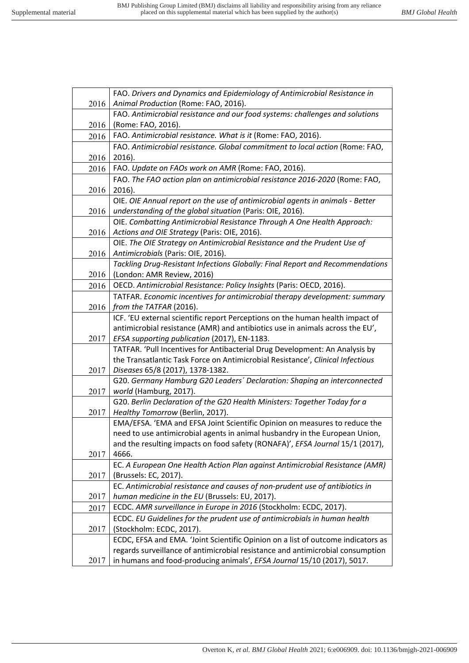|      | FAO. Drivers and Dynamics and Epidemiology of Antimicrobial Resistance in                                                                                    |
|------|--------------------------------------------------------------------------------------------------------------------------------------------------------------|
| 2016 | Animal Production (Rome: FAO, 2016).                                                                                                                         |
|      | FAO. Antimicrobial resistance and our food systems: challenges and solutions                                                                                 |
| 2016 | (Rome: FAO, 2016).                                                                                                                                           |
| 2016 | FAO. Antimicrobial resistance. What is it (Rome: FAO, 2016).                                                                                                 |
|      | FAO. Antimicrobial resistance. Global commitment to local action (Rome: FAO,                                                                                 |
| 2016 | 2016).                                                                                                                                                       |
| 2016 | FAO. Update on FAOs work on AMR (Rome: FAO, 2016).                                                                                                           |
|      | FAO. The FAO action plan on antimicrobial resistance 2016-2020 (Rome: FAO,                                                                                   |
| 2016 | 2016).                                                                                                                                                       |
|      | OIE. OIE Annual report on the use of antimicrobial agents in animals - Better                                                                                |
| 2016 | understanding of the global situation (Paris: OIE, 2016).                                                                                                    |
|      | OIE. Combatting Antimicrobial Resistance Through A One Health Approach:                                                                                      |
| 2016 | Actions and OIE Strategy (Paris: OIE, 2016).                                                                                                                 |
|      | OIE. The OIE Strategy on Antimicrobial Resistance and the Prudent Use of                                                                                     |
| 2016 | Antimicrobials (Paris: OIE, 2016).                                                                                                                           |
|      | Tackling Drug-Resistant Infections Globally: Final Report and Recommendations                                                                                |
| 2016 | (London: AMR Review, 2016)                                                                                                                                   |
| 2016 | OECD. Antimicrobial Resistance: Policy Insights (Paris: OECD, 2016).                                                                                         |
|      | TATFAR. Economic incentives for antimicrobial therapy development: summary                                                                                   |
| 2016 | from the TATFAR (2016).                                                                                                                                      |
|      | ICF. 'EU external scientific report Perceptions on the human health impact of                                                                                |
|      | antimicrobial resistance (AMR) and antibiotics use in animals across the EU',                                                                                |
| 2017 | EFSA supporting publication (2017), EN-1183.                                                                                                                 |
|      | TATFAR. 'Pull Incentives for Antibacterial Drug Development: An Analysis by                                                                                  |
|      | the Transatlantic Task Force on Antimicrobial Resistance', Clinical Infectious                                                                               |
| 2017 | Diseases 65/8 (2017), 1378-1382.                                                                                                                             |
|      | G20. Germany Hamburg G20 Leaders' Declaration: Shaping an interconnected                                                                                     |
| 2017 | world (Hamburg, 2017).                                                                                                                                       |
|      | G20. Berlin Declaration of the G20 Health Ministers: Together Today for a                                                                                    |
| 2017 | Healthy Tomorrow (Berlin, 2017).                                                                                                                             |
|      | EMA/EFSA. 'EMA and EFSA Joint Scientific Opinion on measures to reduce the                                                                                   |
|      | need to use antimicrobial agents in animal husbandry in the European Union,<br>and the resulting impacts on food safety (RONAFA)', EFSA Journal 15/1 (2017), |
| 2017 | 4666.                                                                                                                                                        |
|      | EC. A European One Health Action Plan against Antimicrobial Resistance (AMR)                                                                                 |
| 2017 | (Brussels: EC, 2017).                                                                                                                                        |
|      | EC. Antimicrobial resistance and causes of non-prudent use of antibiotics in                                                                                 |
| 2017 | human medicine in the EU (Brussels: EU, 2017).                                                                                                               |
| 2017 | ECDC. AMR surveillance in Europe in 2016 (Stockholm: ECDC, 2017).                                                                                            |
|      | ECDC. EU Guidelines for the prudent use of antimicrobials in human health                                                                                    |
| 2017 | (Stockholm: ECDC, 2017).                                                                                                                                     |
|      | ECDC, EFSA and EMA. 'Joint Scientific Opinion on a list of outcome indicators as                                                                             |
|      | regards surveillance of antimicrobial resistance and antimicrobial consumption                                                                               |
| 2017 | in humans and food-producing animals', EFSA Journal 15/10 (2017), 5017.                                                                                      |
|      |                                                                                                                                                              |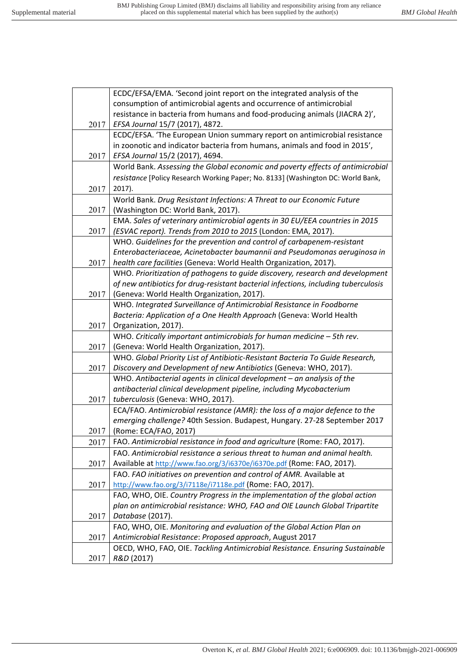|      | ECDC/EFSA/EMA. 'Second joint report on the integrated analysis of the              |
|------|------------------------------------------------------------------------------------|
|      | consumption of antimicrobial agents and occurrence of antimicrobial                |
|      | resistance in bacteria from humans and food-producing animals (JIACRA 2)',         |
| 2017 | EFSA Journal 15/7 (2017), 4872.                                                    |
|      | ECDC/EFSA. 'The European Union summary report on antimicrobial resistance          |
|      | in zoonotic and indicator bacteria from humans, animals and food in 2015',         |
| 2017 | EFSA Journal 15/2 (2017), 4694.                                                    |
|      | World Bank. Assessing the Global economic and poverty effects of antimicrobial     |
|      | resistance [Policy Research Working Paper; No. 8133] (Washington DC: World Bank,   |
| 2017 | 2017).                                                                             |
|      | World Bank. Drug Resistant Infections: A Threat to our Economic Future             |
| 2017 | (Washington DC: World Bank, 2017).                                                 |
|      | EMA. Sales of veterinary antimicrobial agents in 30 EU/EEA countries in 2015       |
| 2017 | (ESVAC report). Trends from 2010 to 2015 (London: EMA, 2017).                      |
|      | WHO. Guidelines for the prevention and control of carbapenem-resistant             |
|      | Enterobacteriaceae, Acinetobacter baumannii and Pseudomonas aeruginosa in          |
| 2017 | health care facilities (Geneva: World Health Organization, 2017).                  |
|      | WHO. Prioritization of pathogens to guide discovery, research and development      |
|      | of new antibiotics for drug-resistant bacterial infections, including tuberculosis |
| 2017 | (Geneva: World Health Organization, 2017).                                         |
|      | WHO. Integrated Surveillance of Antimicrobial Resistance in Foodborne              |
|      | Bacteria: Application of a One Health Approach (Geneva: World Health               |
| 2017 | Organization, 2017).                                                               |
|      | WHO. Critically important antimicrobials for human medicine $-$ 5th rev.           |
| 2017 | (Geneva: World Health Organization, 2017).                                         |
|      | WHO. Global Priority List of Antibiotic-Resistant Bacteria To Guide Research,      |
| 2017 | Discovery and Development of new Antibiotics (Geneva: WHO, 2017).                  |
|      | WHO. Antibacterial agents in clinical development $-$ an analysis of the           |
|      | antibacterial clinical development pipeline, including Mycobacterium               |
| 2017 | tuberculosis (Geneva: WHO, 2017).                                                  |
|      | ECA/FAO. Antimicrobial resistance (AMR): the loss of a major defence to the        |
|      | emerging challenge? 40th Session. Budapest, Hungary. 27-28 September 2017          |
| 2017 | (Rome: ECA/FAO, 2017)                                                              |
| 2017 | FAO. Antimicrobial resistance in food and agriculture (Rome: FAO, 2017).           |
|      | FAO. Antimicrobial resistance a serious threat to human and animal health.         |
| 2017 | Available at http://www.fao.org/3/i6370e/i6370e.pdf (Rome: FAO, 2017).             |
|      | FAO. FAO initiatives on prevention and control of AMR. Available at                |
| 2017 | http://www.fao.org/3/i7118e/i7118e.pdf (Rome: FAO, 2017).                          |
|      | FAO, WHO, OIE. Country Progress in the implementation of the global action         |
|      | plan on antimicrobial resistance: WHO, FAO and OIE Launch Global Tripartite        |
| 2017 | Database (2017).                                                                   |
|      | FAO, WHO, OIE. Monitoring and evaluation of the Global Action Plan on              |
| 2017 | Antimicrobial Resistance: Proposed approach, August 2017                           |
|      | OECD, WHO, FAO, OIE. Tackling Antimicrobial Resistance. Ensuring Sustainable       |
| 2017 | R&D (2017)                                                                         |
|      |                                                                                    |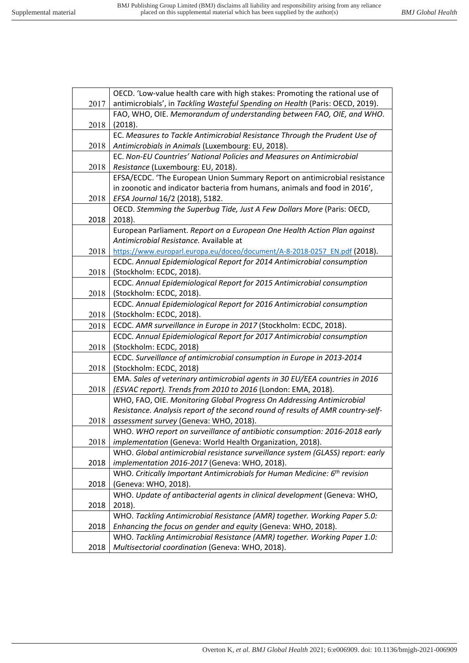|      | OECD. 'Low-value health care with high stakes: Promoting the rational use of          |
|------|---------------------------------------------------------------------------------------|
| 2017 | antimicrobials', in Tackling Wasteful Spending on Health (Paris: OECD, 2019).         |
|      | FAO, WHO, OIE. Memorandum of understanding between FAO, OIE, and WHO.                 |
| 2018 | (2018).                                                                               |
|      | EC. Measures to Tackle Antimicrobial Resistance Through the Prudent Use of            |
| 2018 | Antimicrobials in Animals (Luxembourg: EU, 2018).                                     |
|      | EC. Non-EU Countries' National Policies and Measures on Antimicrobial                 |
| 2018 | Resistance (Luxembourg: EU, 2018).                                                    |
|      | EFSA/ECDC. 'The European Union Summary Report on antimicrobial resistance             |
|      | in zoonotic and indicator bacteria from humans, animals and food in 2016',            |
| 2018 | EFSA Journal 16/2 (2018), 5182.                                                       |
|      | OECD. Stemming the Superbug Tide, Just A Few Dollars More (Paris: OECD,               |
| 2018 | $2018$ ).                                                                             |
|      | European Parliament. Report on a European One Health Action Plan against              |
|      | Antimicrobial Resistance. Available at                                                |
| 2018 | https://www.europarl.europa.eu/doceo/document/A-8-2018-0257 EN.pdf (2018).            |
|      | ECDC. Annual Epidemiological Report for 2014 Antimicrobial consumption                |
| 2018 | (Stockholm: ECDC, 2018).                                                              |
|      | ECDC. Annual Epidemiological Report for 2015 Antimicrobial consumption                |
| 2018 | (Stockholm: ECDC, 2018).                                                              |
|      | ECDC. Annual Epidemiological Report for 2016 Antimicrobial consumption                |
| 2018 | (Stockholm: ECDC, 2018).                                                              |
| 2018 | ECDC. AMR surveillance in Europe in 2017 (Stockholm: ECDC, 2018).                     |
|      | ECDC. Annual Epidemiological Report for 2017 Antimicrobial consumption                |
| 2018 | (Stockholm: ECDC, 2018)                                                               |
|      | ECDC. Surveillance of antimicrobial consumption in Europe in 2013-2014                |
| 2018 | (Stockholm: ECDC, 2018)                                                               |
|      | EMA. Sales of veterinary antimicrobial agents in 30 EU/EEA countries in 2016          |
| 2018 | (ESVAC report). Trends from 2010 to 2016 (London: EMA, 2018).                         |
|      | WHO, FAO, OIE. Monitoring Global Progress On Addressing Antimicrobial                 |
|      | Resistance. Analysis report of the second round of results of AMR country-self-       |
| 2018 | assessment survey (Geneva: WHO, 2018).                                                |
|      | WHO. WHO report on surveillance of antibiotic consumption: 2016-2018 early            |
| 2018 | implementation (Geneva: World Health Organization, 2018).                             |
|      | WHO. Global antimicrobial resistance surveillance system (GLASS) report: early        |
| 2018 | implementation 2016-2017 (Geneva: WHO, 2018).                                         |
|      | WHO. Critically Important Antimicrobials for Human Medicine: 6 <sup>th</sup> revision |
| 2018 | (Geneva: WHO, 2018).                                                                  |
|      | WHO. Update of antibacterial agents in clinical development (Geneva: WHO,             |
| 2018 | 2018).                                                                                |
|      | WHO. Tackling Antimicrobial Resistance (AMR) together. Working Paper 5.0:             |
| 2018 | Enhancing the focus on gender and equity (Geneva: WHO, 2018).                         |
|      | WHO. Tackling Antimicrobial Resistance (AMR) together. Working Paper 1.0:             |
| 2018 | Multisectorial coordination (Geneva: WHO, 2018).                                      |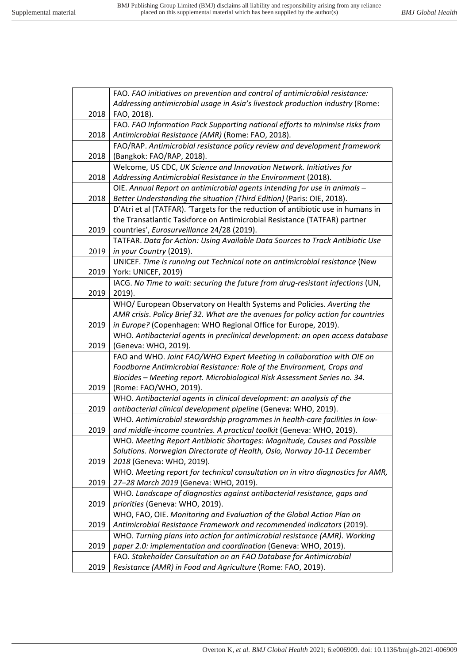|      | FAO. FAO initiatives on prevention and control of antimicrobial resistance:       |
|------|-----------------------------------------------------------------------------------|
|      | Addressing antimicrobial usage in Asia's livestock production industry (Rome:     |
| 2018 | FAO, 2018).                                                                       |
|      | FAO. FAO Information Pack Supporting national efforts to minimise risks from      |
| 2018 | Antimicrobial Resistance (AMR) (Rome: FAO, 2018).                                 |
|      | FAO/RAP. Antimicrobial resistance policy review and development framework         |
| 2018 | (Bangkok: FAO/RAP, 2018).                                                         |
|      | Welcome, US CDC, UK Science and Innovation Network. Initiatives for               |
| 2018 | Addressing Antimicrobial Resistance in the Environment (2018).                    |
|      | OIE. Annual Report on antimicrobial agents intending for use in animals -         |
| 2018 | Better Understanding the situation (Third Edition) (Paris: OIE, 2018).            |
|      | D'Atri et al (TATFAR). 'Targets for the reduction of antibiotic use in humans in  |
|      | the Transatlantic Taskforce on Antimicrobial Resistance (TATFAR) partner          |
| 2019 | countries', Eurosurveillance 24/28 (2019).                                        |
|      | TATFAR. Data for Action: Using Available Data Sources to Track Antibiotic Use     |
| 2019 | in your Country (2019).                                                           |
|      | UNICEF. Time is running out Technical note on antimicrobial resistance (New       |
| 2019 | York: UNICEF, 2019)                                                               |
|      | IACG. No Time to wait: securing the future from drug-resistant infections (UN,    |
| 2019 | 2019).                                                                            |
|      | WHO/ European Observatory on Health Systems and Policies. Averting the            |
|      | AMR crisis. Policy Brief 32. What are the avenues for policy action for countries |
| 2019 | in Europe? (Copenhagen: WHO Regional Office for Europe, 2019).                    |
|      | WHO. Antibacterial agents in preclinical development: an open access database     |
| 2019 | (Geneva: WHO, 2019).                                                              |
|      | FAO and WHO. Joint FAO/WHO Expert Meeting in collaboration with OIE on            |
|      | Foodborne Antimicrobial Resistance: Role of the Environment, Crops and            |
|      | Biocides - Meeting report. Microbiological Risk Assessment Series no. 34.         |
| 2019 | (Rome: FAO/WHO, 2019).                                                            |
|      | WHO. Antibacterial agents in clinical development: an analysis of the             |
| 2019 | antibacterial clinical development pipeline (Geneva: WHO, 2019).                  |
|      | WHO. Antimicrobial stewardship programmes in health-care facilities in low-       |
| 2019 | and middle-income countries. A practical toolkit (Geneva: WHO, 2019).             |
|      | WHO. Meeting Report Antibiotic Shortages: Magnitude, Causes and Possible          |
|      | Solutions. Norwegian Directorate of Health, Oslo, Norway 10-11 December           |
| 2019 | 2018 (Geneva: WHO, 2019).                                                         |
|      | WHO. Meeting report for technical consultation on in vitro diagnostics for AMR,   |
| 2019 | 27-28 March 2019 (Geneva: WHO, 2019).                                             |
|      | WHO. Landscape of diagnostics against antibacterial resistance, gaps and          |
| 2019 | priorities (Geneva: WHO, 2019).                                                   |
|      | WHO, FAO, OIE. Monitoring and Evaluation of the Global Action Plan on             |
| 2019 | Antimicrobial Resistance Framework and recommended indicators (2019).             |
|      | WHO. Turning plans into action for antimicrobial resistance (AMR). Working        |
| 2019 | paper 2.0: implementation and coordination (Geneva: WHO, 2019).                   |
|      | FAO. Stakeholder Consultation on an FAO Database for Antimicrobial                |
| 2019 | Resistance (AMR) in Food and Agriculture (Rome: FAO, 2019).                       |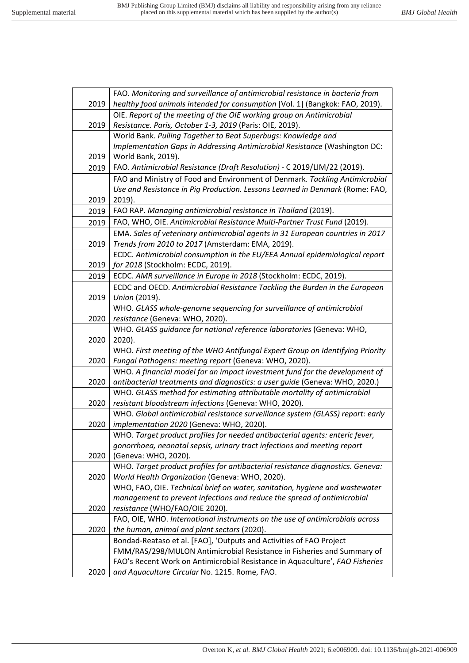|      | FAO. Monitoring and surveillance of antimicrobial resistance in bacteria from                    |
|------|--------------------------------------------------------------------------------------------------|
| 2019 | healthy food animals intended for consumption [Vol. 1] (Bangkok: FAO, 2019).                     |
|      | OIE. Report of the meeting of the OIE working group on Antimicrobial                             |
| 2019 | Resistance. Paris, October 1-3, 2019 (Paris: OIE, 2019).                                         |
|      | World Bank. Pulling Together to Beat Superbugs: Knowledge and                                    |
|      | Implementation Gaps in Addressing Antimicrobial Resistance (Washington DC:                       |
| 2019 | World Bank, 2019).                                                                               |
| 2019 | FAO. Antimicrobial Resistance (Draft Resolution) - C 2019/LIM/22 (2019).                         |
|      | FAO and Ministry of Food and Environment of Denmark. Tackling Antimicrobial                      |
|      | Use and Resistance in Pig Production. Lessons Learned in Denmark (Rome: FAO,                     |
| 2019 | 2019).                                                                                           |
| 2019 | FAO RAP. Managing antimicrobial resistance in Thailand (2019).                                   |
| 2019 | FAO, WHO, OIE. Antimicrobial Resistance Multi-Partner Trust Fund (2019).                         |
|      | EMA. Sales of veterinary antimicrobial agents in 31 European countries in 2017                   |
| 2019 | Trends from 2010 to 2017 (Amsterdam: EMA, 2019).                                                 |
|      | ECDC. Antimicrobial consumption in the EU/EEA Annual epidemiological report                      |
| 2019 | for 2018 (Stockholm: ECDC, 2019).                                                                |
| 2019 | ECDC. AMR surveillance in Europe in 2018 (Stockholm: ECDC, 2019).                                |
|      | ECDC and OECD. Antimicrobial Resistance Tackling the Burden in the European                      |
| 2019 | Union (2019).                                                                                    |
|      | WHO. GLASS whole-genome sequencing for surveillance of antimicrobial                             |
| 2020 | resistance (Geneva: WHO, 2020).                                                                  |
|      | WHO. GLASS guidance for national reference laboratories (Geneva: WHO,                            |
| 2020 | 2020).                                                                                           |
|      | WHO. First meeting of the WHO Antifungal Expert Group on Identifying Priority                    |
| 2020 | Fungal Pathogens: meeting report (Geneva: WHO, 2020).                                            |
|      | WHO. A financial model for an impact investment fund for the development of                      |
| 2020 | antibacterial treatments and diagnostics: a user guide (Geneva: WHO, 2020.)                      |
|      | WHO. GLASS method for estimating attributable mortality of antimicrobial                         |
| 2020 | resistant bloodstream infections (Geneva: WHO, 2020).                                            |
|      | WHO. Global antimicrobial resistance surveillance system (GLASS) report: early                   |
| 2020 | implementation 2020 (Geneva: WHO, 2020).                                                         |
|      | WHO. Target product profiles for needed antibacterial agents: enteric fever,                     |
| 2020 | gonorrhoea, neonatal sepsis, urinary tract infections and meeting report<br>(Geneva: WHO, 2020). |
|      | WHO. Target product profiles for antibacterial resistance diagnostics. Geneva:                   |
| 2020 | World Health Organization (Geneva: WHO, 2020).                                                   |
|      | WHO, FAO, OIE. Technical brief on water, sanitation, hygiene and wastewater                      |
|      | management to prevent infections and reduce the spread of antimicrobial                          |
| 2020 | resistance (WHO/FAO/OIE 2020).                                                                   |
|      | FAO, OIE, WHO. International instruments on the use of antimicrobials across                     |
| 2020 | the human, animal and plant sectors (2020).                                                      |
|      | Bondad-Reataso et al. [FAO], 'Outputs and Activities of FAO Project                              |
|      | FMM/RAS/298/MULON Antimicrobial Resistance in Fisheries and Summary of                           |
|      | FAO's Recent Work on Antimicrobial Resistance in Aquaculture', FAO Fisheries                     |
| 2020 | and Aquaculture Circular No. 1215. Rome, FAO.                                                    |
|      |                                                                                                  |